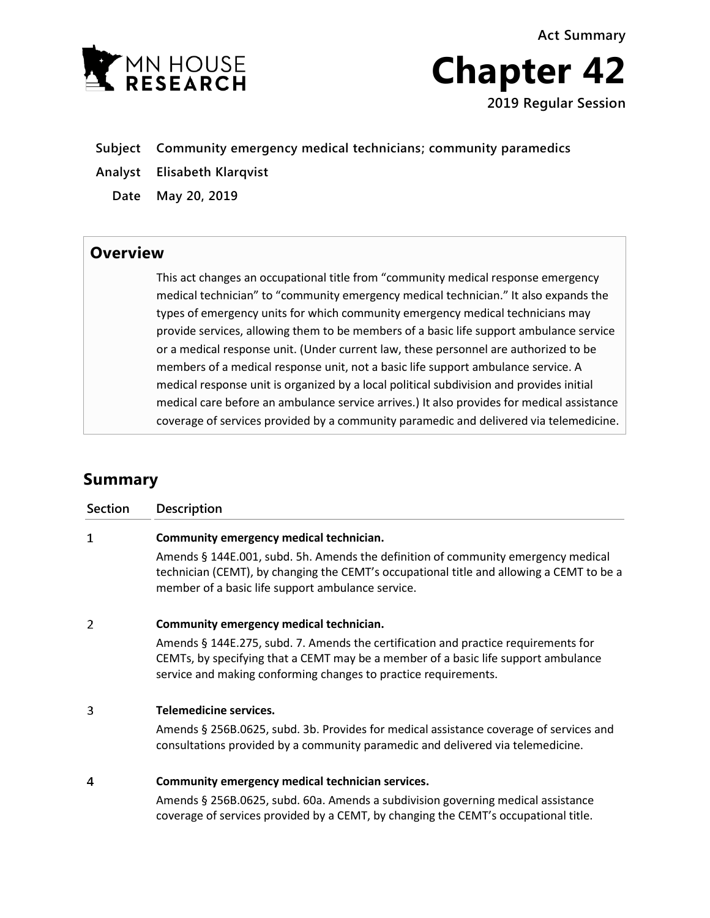**Act Summary**



**Chapter 42 2019 Regular Session**

- **Subject Community emergency medical technicians; community paramedics**
- **Analyst Elisabeth Klarqvist**

**Date May 20, 2019**

## **Overview**

This act changes an occupational title from "community medical response emergency medical technician" to "community emergency medical technician." It also expands the types of emergency units for which community emergency medical technicians may provide services, allowing them to be members of a basic life support ambulance service or a medical response unit. (Under current law, these personnel are authorized to be members of a medical response unit, not a basic life support ambulance service. A medical response unit is organized by a local political subdivision and provides initial medical care before an ambulance service arrives.) It also provides for medical assistance coverage of services provided by a community paramedic and delivered via telemedicine.

## **Summary**

| <b>Section</b> | Description                                                                                                                                                                                                                                 |
|----------------|---------------------------------------------------------------------------------------------------------------------------------------------------------------------------------------------------------------------------------------------|
| $\mathbf 1$    | Community emergency medical technician.                                                                                                                                                                                                     |
|                | Amends § 144E.001, subd. 5h. Amends the definition of community emergency medical<br>technician (CEMT), by changing the CEMT's occupational title and allowing a CEMT to be a<br>member of a basic life support ambulance service.          |
| 2              | Community emergency medical technician.                                                                                                                                                                                                     |
|                | Amends § 144E.275, subd. 7. Amends the certification and practice requirements for<br>CEMTs, by specifying that a CEMT may be a member of a basic life support ambulance<br>service and making conforming changes to practice requirements. |
| 3              | Telemedicine services.                                                                                                                                                                                                                      |
|                | Amends § 256B.0625, subd. 3b. Provides for medical assistance coverage of services and<br>consultations provided by a community paramedic and delivered via telemedicine.                                                                   |
| 4              | Community emergency medical technician services.                                                                                                                                                                                            |
|                | Amends § 256B.0625, subd. 60a. Amends a subdivision governing medical assistance<br>coverage of services provided by a CEMT, by changing the CEMT's occupational title.                                                                     |